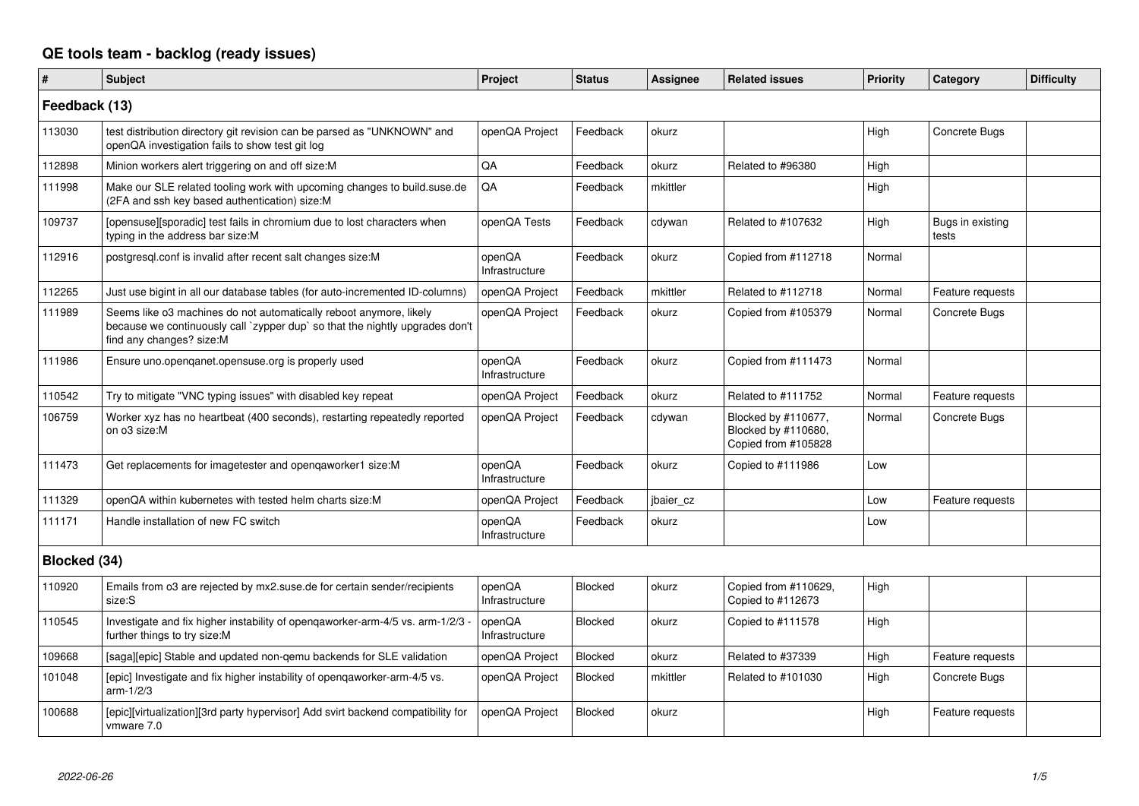## **QE tools team - backlog (ready issues)**

| $\vert$ #     | <b>Subject</b>                                                                                                                                                                 | Project                  | <b>Status</b>  | <b>Assignee</b> | <b>Related issues</b>                                             | <b>Priority</b> | Category                  | <b>Difficulty</b> |
|---------------|--------------------------------------------------------------------------------------------------------------------------------------------------------------------------------|--------------------------|----------------|-----------------|-------------------------------------------------------------------|-----------------|---------------------------|-------------------|
| Feedback (13) |                                                                                                                                                                                |                          |                |                 |                                                                   |                 |                           |                   |
| 113030        | test distribution directory git revision can be parsed as "UNKNOWN" and<br>openQA investigation fails to show test git log                                                     | openQA Project           | Feedback       | okurz           |                                                                   | High            | Concrete Bugs             |                   |
| 112898        | Minion workers alert triggering on and off size:M                                                                                                                              | QA                       | Feedback       | okurz           | Related to #96380                                                 | High            |                           |                   |
| 111998        | Make our SLE related tooling work with upcoming changes to build.suse.de<br>(2FA and ssh key based authentication) size:M                                                      | QA                       | Feedback       | mkittler        |                                                                   | High            |                           |                   |
| 109737        | [opensuse][sporadic] test fails in chromium due to lost characters when<br>typing in the address bar size:M                                                                    | openQA Tests             | Feedback       | cdywan          | Related to #107632                                                | High            | Bugs in existing<br>tests |                   |
| 112916        | postgresgl.conf is invalid after recent salt changes size: M                                                                                                                   | openQA<br>Infrastructure | Feedback       | okurz           | Copied from #112718                                               | Normal          |                           |                   |
| 112265        | Just use bigint in all our database tables (for auto-incremented ID-columns)                                                                                                   | openQA Project           | Feedback       | mkittler        | Related to #112718                                                | Normal          | Feature requests          |                   |
| 111989        | Seems like o3 machines do not automatically reboot anymore, likely<br>because we continuously call `zypper dup` so that the nightly upgrades don't<br>find any changes? size:M | openQA Project           | Feedback       | okurz           | Copied from #105379                                               | Normal          | Concrete Bugs             |                   |
| 111986        | Ensure uno openganet opensuse org is properly used                                                                                                                             | openQA<br>Infrastructure | Feedback       | okurz           | Copied from #111473                                               | Normal          |                           |                   |
| 110542        | Try to mitigate "VNC typing issues" with disabled key repeat                                                                                                                   | openQA Project           | Feedback       | okurz           | Related to #111752                                                | Normal          | Feature requests          |                   |
| 106759        | Worker xyz has no heartbeat (400 seconds), restarting repeatedly reported<br>on o3 size:M                                                                                      | openQA Project           | Feedback       | cdywan          | Blocked by #110677,<br>Blocked by #110680,<br>Copied from #105828 | Normal          | Concrete Bugs             |                   |
| 111473        | Get replacements for imagetester and openqaworker1 size:M                                                                                                                      | openQA<br>Infrastructure | Feedback       | okurz           | Copied to #111986                                                 | Low             |                           |                   |
| 111329        | openQA within kubernetes with tested helm charts size:M                                                                                                                        | openQA Project           | Feedback       | jbaier cz       |                                                                   | Low             | Feature requests          |                   |
| 111171        | Handle installation of new FC switch                                                                                                                                           | openQA<br>Infrastructure | Feedback       | okurz           |                                                                   | Low             |                           |                   |
| Blocked (34)  |                                                                                                                                                                                |                          |                |                 |                                                                   |                 |                           |                   |
| 110920        | Emails from o3 are rejected by mx2.suse.de for certain sender/recipients<br>size:S                                                                                             | openQA<br>Infrastructure | Blocked        | okurz           | Copied from #110629,<br>Copied to #112673                         | High            |                           |                   |
| 110545        | Investigate and fix higher instability of openqaworker-arm-4/5 vs. arm-1/2/3<br>further things to try size:M                                                                   | openQA<br>Infrastructure | Blocked        | okurz           | Copied to #111578                                                 | High            |                           |                   |
| 109668        | [saga][epic] Stable and updated non-gemu backends for SLE validation                                                                                                           | openQA Project           | Blocked        | okurz           | Related to #37339                                                 | High            | Feature requests          |                   |
| 101048        | [epic] Investigate and fix higher instability of openqaworker-arm-4/5 vs.<br>arm-1/2/3                                                                                         | openQA Project           | Blocked        | mkittler        | Related to #101030                                                | High            | Concrete Bugs             |                   |
| 100688        | [epic][virtualization][3rd party hypervisor] Add svirt backend compatibility for<br>vmware 7.0                                                                                 | openQA Project           | <b>Blocked</b> | okurz           |                                                                   | High            | Feature requests          |                   |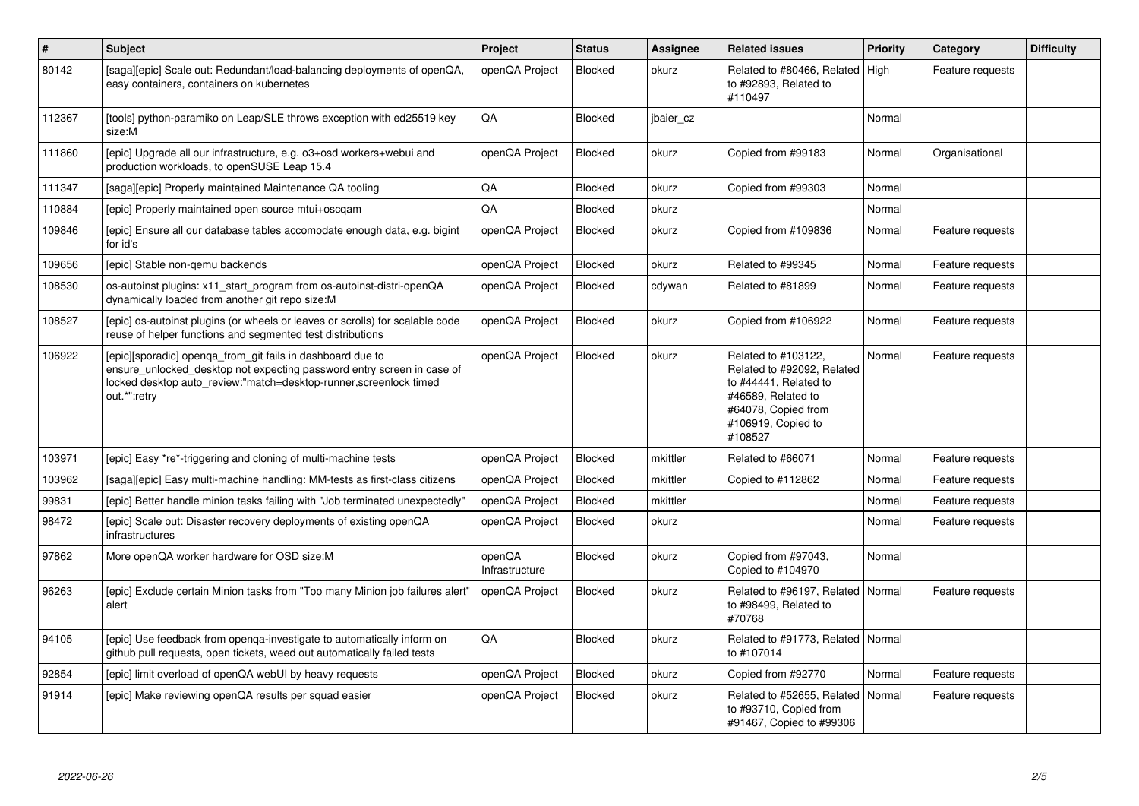| $\sharp$ | <b>Subject</b>                                                                                                                                                                                                             | Project                  | <b>Status</b> | Assignee  | <b>Related issues</b>                                                                                                                                    | <b>Priority</b> | Category         | <b>Difficulty</b> |
|----------|----------------------------------------------------------------------------------------------------------------------------------------------------------------------------------------------------------------------------|--------------------------|---------------|-----------|----------------------------------------------------------------------------------------------------------------------------------------------------------|-----------------|------------------|-------------------|
| 80142    | [saga][epic] Scale out: Redundant/load-balancing deployments of openQA,<br>easy containers, containers on kubernetes                                                                                                       | openQA Project           | Blocked       | okurz     | Related to #80466, Related   High<br>to #92893, Related to<br>#110497                                                                                    |                 | Feature requests |                   |
| 112367   | [tools] python-paramiko on Leap/SLE throws exception with ed25519 key<br>size:M                                                                                                                                            | QA                       | Blocked       | jbaier cz |                                                                                                                                                          | Normal          |                  |                   |
| 111860   | [epic] Upgrade all our infrastructure, e.g. o3+osd workers+webui and<br>production workloads, to openSUSE Leap 15.4                                                                                                        | openQA Project           | Blocked       | okurz     | Copied from #99183                                                                                                                                       | Normal          | Organisational   |                   |
| 111347   | [saga][epic] Properly maintained Maintenance QA tooling                                                                                                                                                                    | QA                       | Blocked       | okurz     | Copied from #99303                                                                                                                                       | Normal          |                  |                   |
| 110884   | [epic] Properly maintained open source mtui+oscgam                                                                                                                                                                         | QA                       | Blocked       | okurz     |                                                                                                                                                          | Normal          |                  |                   |
| 109846   | [epic] Ensure all our database tables accomodate enough data, e.g. bigint<br>for id's                                                                                                                                      | openQA Project           | Blocked       | okurz     | Copied from #109836                                                                                                                                      | Normal          | Feature requests |                   |
| 109656   | [epic] Stable non-gemu backends                                                                                                                                                                                            | openQA Project           | Blocked       | okurz     | Related to #99345                                                                                                                                        | Normal          | Feature requests |                   |
| 108530   | os-autoinst plugins: x11_start_program from os-autoinst-distri-openQA<br>dynamically loaded from another git repo size:M                                                                                                   | openQA Project           | Blocked       | cdywan    | Related to #81899                                                                                                                                        | Normal          | Feature requests |                   |
| 108527   | [epic] os-autoinst plugins (or wheels or leaves or scrolls) for scalable code<br>reuse of helper functions and segmented test distributions                                                                                | openQA Project           | Blocked       | okurz     | Copied from #106922                                                                                                                                      | Normal          | Feature requests |                   |
| 106922   | [epic][sporadic] openqa_from_git fails in dashboard due to<br>ensure_unlocked_desktop not expecting password entry screen in case of<br>locked desktop auto review:"match=desktop-runner, screenlock timed<br>out.*":retry | openQA Project           | Blocked       | okurz     | Related to #103122,<br>Related to #92092, Related<br>to #44441, Related to<br>#46589, Related to<br>#64078, Copied from<br>#106919, Copied to<br>#108527 | Normal          | Feature requests |                   |
| 103971   | [epic] Easy *re*-triggering and cloning of multi-machine tests                                                                                                                                                             | openQA Project           | Blocked       | mkittler  | Related to #66071                                                                                                                                        | Normal          | Feature requests |                   |
| 103962   | [saga][epic] Easy multi-machine handling: MM-tests as first-class citizens                                                                                                                                                 | openQA Project           | Blocked       | mkittler  | Copied to #112862                                                                                                                                        | Normal          | Feature requests |                   |
| 99831    | [epic] Better handle minion tasks failing with "Job terminated unexpectedly'                                                                                                                                               | openQA Project           | Blocked       | mkittler  |                                                                                                                                                          | Normal          | Feature requests |                   |
| 98472    | [epic] Scale out: Disaster recovery deployments of existing openQA<br>infrastructures                                                                                                                                      | openQA Project           | Blocked       | okurz     |                                                                                                                                                          | Normal          | Feature requests |                   |
| 97862    | More openQA worker hardware for OSD size:M                                                                                                                                                                                 | openQA<br>Infrastructure | Blocked       | okurz     | Copied from #97043,<br>Copied to #104970                                                                                                                 | Normal          |                  |                   |
| 96263    | [epic] Exclude certain Minion tasks from "Too many Minion job failures alert"<br>alert                                                                                                                                     | openQA Project           | Blocked       | okurz     | Related to #96197, Related   Normal<br>to #98499, Related to<br>#70768                                                                                   |                 | Feature requests |                   |
| 94105    | [epic] Use feedback from openga-investigate to automatically inform on<br>github pull requests, open tickets, weed out automatically failed tests                                                                          | QA                       | Blocked       | okurz     | Related to #91773, Related   Normal<br>to #107014                                                                                                        |                 |                  |                   |
| 92854    | [epic] limit overload of openQA webUI by heavy requests                                                                                                                                                                    | openQA Project           | Blocked       | okurz     | Copied from #92770                                                                                                                                       | Normal          | Feature requests |                   |
| 91914    | [epic] Make reviewing openQA results per squad easier                                                                                                                                                                      | openQA Project           | Blocked       | okurz     | Related to #52655, Related   Normal<br>to #93710, Copied from<br>#91467, Copied to #99306                                                                |                 | Feature requests |                   |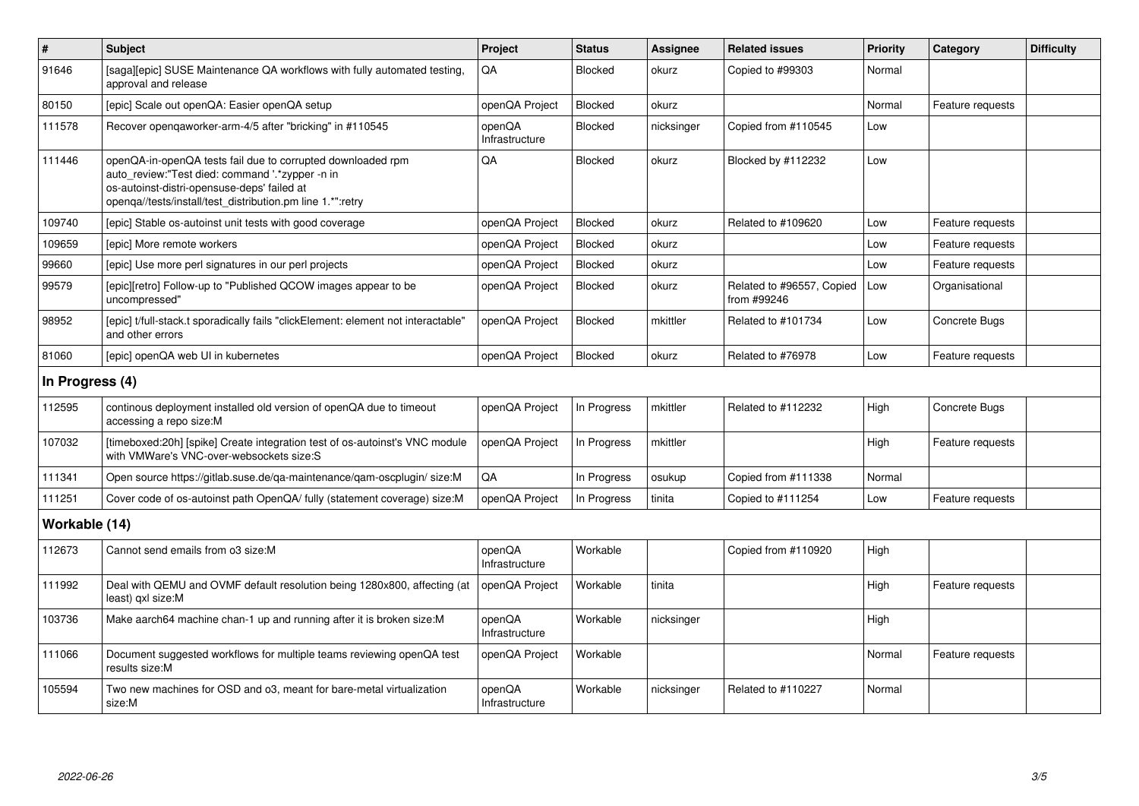| $\sharp$        | <b>Subject</b>                                                                                                                                                                                                              | Project                  | <b>Status</b> | Assignee   | <b>Related issues</b>                    | <b>Priority</b> | Category         | <b>Difficulty</b> |
|-----------------|-----------------------------------------------------------------------------------------------------------------------------------------------------------------------------------------------------------------------------|--------------------------|---------------|------------|------------------------------------------|-----------------|------------------|-------------------|
| 91646           | [saga][epic] SUSE Maintenance QA workflows with fully automated testing,<br>approval and release                                                                                                                            | QA                       | Blocked       | okurz      | Copied to #99303                         | Normal          |                  |                   |
| 80150           | [epic] Scale out openQA: Easier openQA setup                                                                                                                                                                                | openQA Project           | Blocked       | okurz      |                                          | Normal          | Feature requests |                   |
| 111578          | Recover opengaworker-arm-4/5 after "bricking" in #110545                                                                                                                                                                    | openQA<br>Infrastructure | Blocked       | nicksinger | Copied from #110545                      | Low             |                  |                   |
| 111446          | openQA-in-openQA tests fail due to corrupted downloaded rpm<br>auto review:"Test died: command '.*zypper -n in<br>os-autoinst-distri-opensuse-deps' failed at<br>openqa//tests/install/test_distribution.pm line 1.*":retry | QA                       | Blocked       | okurz      | Blocked by #112232                       | Low             |                  |                   |
| 109740          | [epic] Stable os-autoinst unit tests with good coverage                                                                                                                                                                     | openQA Project           | Blocked       | okurz      | Related to #109620                       | Low             | Feature requests |                   |
| 109659          | [epic] More remote workers                                                                                                                                                                                                  | openQA Project           | Blocked       | okurz      |                                          | Low             | Feature requests |                   |
| 99660           | [epic] Use more perl signatures in our perl projects                                                                                                                                                                        | openQA Project           | Blocked       | okurz      |                                          | Low             | Feature requests |                   |
| 99579           | [epic][retro] Follow-up to "Published QCOW images appear to be<br>uncompressed"                                                                                                                                             | openQA Project           | Blocked       | okurz      | Related to #96557, Copied<br>from #99246 | Low             | Organisational   |                   |
| 98952           | [epic] t/full-stack.t sporadically fails "clickElement: element not interactable'<br>and other errors                                                                                                                       | openQA Project           | Blocked       | mkittler   | Related to #101734                       | Low             | Concrete Bugs    |                   |
| 81060           | [epic] openQA web UI in kubernetes                                                                                                                                                                                          | openQA Project           | Blocked       | okurz      | Related to #76978                        | Low             | Feature requests |                   |
| In Progress (4) |                                                                                                                                                                                                                             |                          |               |            |                                          |                 |                  |                   |
| 112595          | continous deployment installed old version of openQA due to timeout<br>accessing a repo size:M                                                                                                                              | openQA Project           | In Progress   | mkittler   | Related to #112232                       | High            | Concrete Bugs    |                   |
| 107032          | [timeboxed:20h] [spike] Create integration test of os-autoinst's VNC module<br>with VMWare's VNC-over-websockets size:S                                                                                                     | openQA Project           | In Progress   | mkittler   |                                          | High            | Feature requests |                   |
| 111341          | Open source https://gitlab.suse.de/ga-maintenance/gam-oscplugin/ size:M                                                                                                                                                     | QA                       | In Progress   | osukup     | Copied from #111338                      | Normal          |                  |                   |
| 111251          | Cover code of os-autoinst path OpenQA/ fully (statement coverage) size:M                                                                                                                                                    | openQA Project           | In Progress   | tinita     | Copied to #111254                        | Low             | Feature requests |                   |
| Workable (14)   |                                                                                                                                                                                                                             |                          |               |            |                                          |                 |                  |                   |
| 112673          | Cannot send emails from o3 size:M                                                                                                                                                                                           | openQA<br>Infrastructure | Workable      |            | Copied from #110920                      | High            |                  |                   |
| 111992          | Deal with QEMU and OVMF default resolution being 1280x800, affecting (at<br>least) qxl size:M                                                                                                                               | openQA Project           | Workable      | tinita     |                                          | High            | Feature requests |                   |
| 103736          | Make aarch64 machine chan-1 up and running after it is broken size:M                                                                                                                                                        | openQA<br>Infrastructure | Workable      | nicksinger |                                          | High            |                  |                   |
| 111066          | Document suggested workflows for multiple teams reviewing openQA test<br>results size:M                                                                                                                                     | openQA Project           | Workable      |            |                                          | Normal          | Feature requests |                   |
| 105594          | Two new machines for OSD and o3, meant for bare-metal virtualization<br>size:M                                                                                                                                              | openQA<br>Infrastructure | Workable      | nicksinger | Related to #110227                       | Normal          |                  |                   |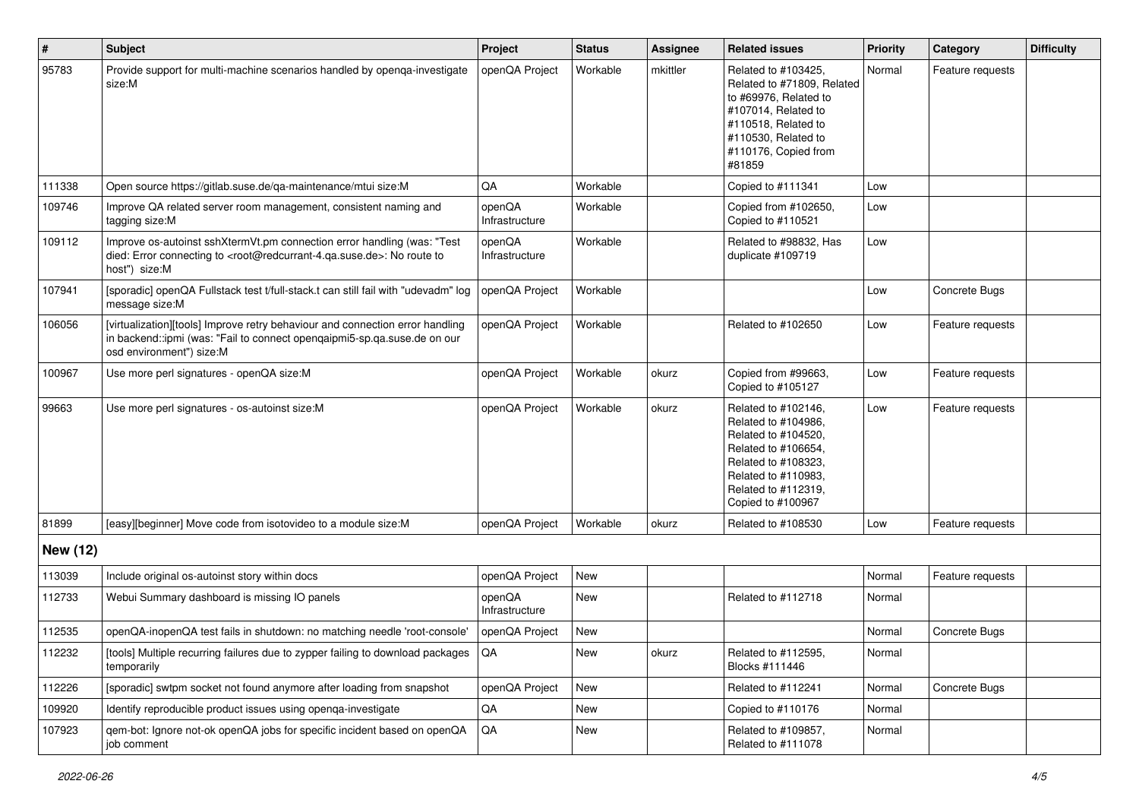| #               | <b>Subject</b>                                                                                                                                                                                    | Project                  | <b>Status</b> | <b>Assignee</b> | <b>Related issues</b>                                                                                                                                                              | Priority | Category         | <b>Difficulty</b> |
|-----------------|---------------------------------------------------------------------------------------------------------------------------------------------------------------------------------------------------|--------------------------|---------------|-----------------|------------------------------------------------------------------------------------------------------------------------------------------------------------------------------------|----------|------------------|-------------------|
| 95783           | Provide support for multi-machine scenarios handled by openga-investigate<br>size:M                                                                                                               | openQA Project           | Workable      | mkittler        | Related to #103425,<br>Related to #71809, Related<br>to #69976, Related to<br>#107014, Related to<br>#110518, Related to<br>#110530, Related to<br>#110176, Copied from<br>#81859  | Normal   | Feature requests |                   |
| 111338          | Open source https://gitlab.suse.de/ga-maintenance/mtui size:M                                                                                                                                     | QA                       | Workable      |                 | Copied to #111341                                                                                                                                                                  | Low      |                  |                   |
| 109746          | Improve QA related server room management, consistent naming and<br>tagging size:M                                                                                                                | openQA<br>Infrastructure | Workable      |                 | Copied from #102650,<br>Copied to #110521                                                                                                                                          | Low      |                  |                   |
| 109112          | Improve os-autoinst sshXtermVt.pm connection error handling (was: "Test<br>died: Error connecting to <root@redcurrant-4.qa.suse.de>: No route to<br/>host") size:M</root@redcurrant-4.qa.suse.de> | openQA<br>Infrastructure | Workable      |                 | Related to #98832, Has<br>duplicate #109719                                                                                                                                        | Low      |                  |                   |
| 107941          | [sporadic] openQA Fullstack test t/full-stack.t can still fail with "udevadm" log<br>message size:M                                                                                               | openQA Project           | Workable      |                 |                                                                                                                                                                                    | Low      | Concrete Bugs    |                   |
| 106056          | [virtualization][tools] Improve retry behaviour and connection error handling<br>in backend::ipmi (was: "Fail to connect opengaipmi5-sp.ga.suse.de on our<br>osd environment") size:M             | openQA Project           | Workable      |                 | Related to #102650                                                                                                                                                                 | Low      | Feature requests |                   |
| 100967          | Use more perl signatures - openQA size:M                                                                                                                                                          | openQA Project           | Workable      | okurz           | Copied from #99663,<br>Copied to #105127                                                                                                                                           | Low      | Feature requests |                   |
| 99663           | Use more perl signatures - os-autoinst size:M                                                                                                                                                     | openQA Project           | Workable      | okurz           | Related to #102146,<br>Related to #104986,<br>Related to #104520,<br>Related to #106654,<br>Related to #108323,<br>Related to #110983,<br>Related to #112319,<br>Copied to #100967 | Low      | Feature requests |                   |
| 81899           | [easy][beginner] Move code from isotovideo to a module size:M                                                                                                                                     | openQA Project           | Workable      | okurz           | Related to #108530                                                                                                                                                                 | Low      | Feature requests |                   |
| <b>New (12)</b> |                                                                                                                                                                                                   |                          |               |                 |                                                                                                                                                                                    |          |                  |                   |
| 113039          | Include original os-autoinst story within docs                                                                                                                                                    | openQA Project           | <b>New</b>    |                 |                                                                                                                                                                                    | Normal   | Feature requests |                   |
| 112733          | Webui Summary dashboard is missing IO panels                                                                                                                                                      | openQA<br>Infrastructure | New           |                 | Related to #112718                                                                                                                                                                 | Normal   |                  |                   |
| 112535          | openQA-inopenQA test fails in shutdown: no matching needle 'root-console'                                                                                                                         | openQA Project           | New           |                 |                                                                                                                                                                                    | Normal   | Concrete Bugs    |                   |
| 112232          | [tools] Multiple recurring failures due to zypper failing to download packages   QA<br>temporarily                                                                                                |                          | New           | okurz           | Related to #112595,<br>Blocks #111446                                                                                                                                              | Normal   |                  |                   |
| 112226          | [sporadic] swtpm socket not found anymore after loading from snapshot                                                                                                                             | openQA Project           | New           |                 | Related to #112241                                                                                                                                                                 | Normal   | Concrete Bugs    |                   |
| 109920          | Identify reproducible product issues using openga-investigate                                                                                                                                     | QA                       | New           |                 | Copied to #110176                                                                                                                                                                  | Normal   |                  |                   |
| 107923          | gem-bot: Ignore not-ok openQA jobs for specific incident based on openQA<br>job comment                                                                                                           | QA                       | New           |                 | Related to #109857,<br>Related to #111078                                                                                                                                          | Normal   |                  |                   |